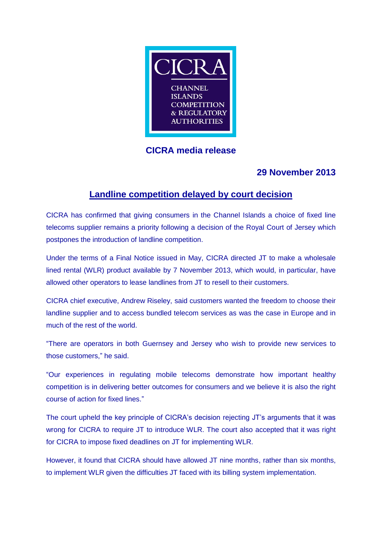

# **CICRA media release**

# **29 November 2013**

# **Landline competition delayed by court decision**

CICRA has confirmed that giving consumers in the Channel Islands a choice of fixed line telecoms supplier remains a priority following a decision of the Royal Court of Jersey which postpones the introduction of landline competition.

Under the terms of a Final Notice issued in May, CICRA directed JT to make a wholesale lined rental (WLR) product available by 7 November 2013, which would, in particular, have allowed other operators to lease landlines from JT to resell to their customers.

CICRA chief executive, Andrew Riseley, said customers wanted the freedom to choose their landline supplier and to access bundled telecom services as was the case in Europe and in much of the rest of the world.

"There are operators in both Guernsey and Jersey who wish to provide new services to those customers," he said.

"Our experiences in regulating mobile telecoms demonstrate how important healthy competition is in delivering better outcomes for consumers and we believe it is also the right course of action for fixed lines."

The court upheld the key principle of CICRA's decision rejecting JT's arguments that it was wrong for CICRA to require JT to introduce WLR. The court also accepted that it was right for CICRA to impose fixed deadlines on JT for implementing WLR.

However, it found that CICRA should have allowed JT nine months, rather than six months, to implement WLR given the difficulties JT faced with its billing system implementation.